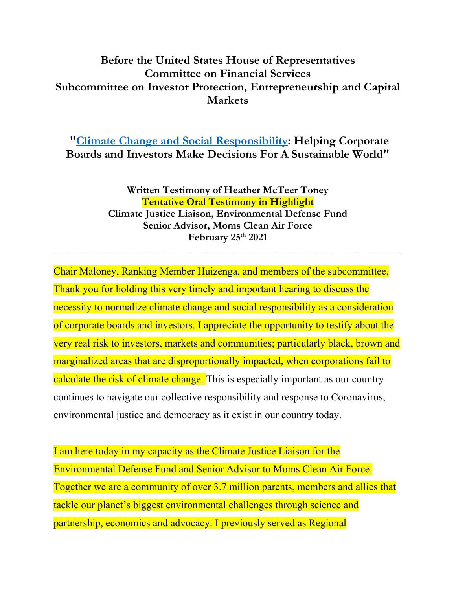## **Before the United States House of Representatives Committee on Financial Services Subcommittee on Investor Protection, Entrepreneurship and Capital Markets**

**["Climate Change and Social Responsibility:](https://financialservices.house.gov/calendar/eventsingle.aspx?EventID=407109) Helping Corporate Boards and Investors Make Decisions For A Sustainable World"**

> **Written Testimony of Heather McTeer Toney Tentative Oral Testimony in Highlight Climate Justice Liaison, Environmental Defense Fund Senior Advisor, Moms Clean Air Force February 25th 2021**

**\_\_\_\_\_\_\_\_\_\_\_\_\_\_\_\_\_\_\_\_\_\_\_\_\_\_\_\_\_\_\_\_\_\_\_\_\_\_\_\_\_\_\_\_\_\_\_\_\_\_\_\_\_\_\_\_\_\_\_\_\_\_\_\_\_\_**

Chair Maloney, Ranking Member Huizenga, and members of the subcommittee, Thank you for holding this very timely and important hearing to discuss the necessity to normalize climate change and social responsibility as a consideration of corporate boards and investors. I appreciate the opportunity to testify about the very real risk to investors, markets and communities; particularly black, brown and marginalized areas that are disproportionally impacted, when corporations fail to calculate the risk of climate change. This is especially important as our country continues to navigate our collective responsibility and response to Coronavirus, environmental justice and democracy as it exist in our country today.

I am here today in my capacity as the Climate Justice Liaison for the Environmental Defense Fund and Senior Advisor to Moms Clean Air Force. Together we are a community of over 3.7 million parents, members and allies that tackle our planet's biggest environmental challenges through science and partnership, economics and advocacy. I previously served as Regional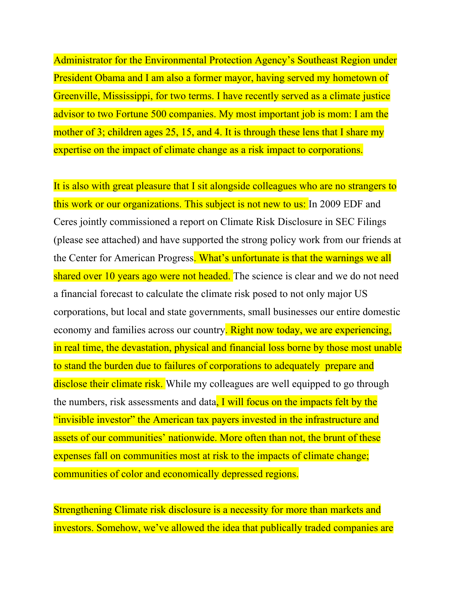Administrator for the Environmental Protection Agency's Southeast Region under President Obama and I am also a former mayor, having served my hometown of Greenville, Mississippi, for two terms. I have recently served as a climate justice advisor to two Fortune 500 companies. My most important job is mom: I am the mother of 3; children ages 25, 15, and 4. It is through these lens that I share my expertise on the impact of climate change as a risk impact to corporations.

It is also with great pleasure that I sit alongside colleagues who are no strangers to this work or our organizations. This subject is not new to us: In 2009 EDF and Ceres jointly commissioned a report on Climate Risk Disclosure in SEC Filings (please see attached) and have supported the strong policy work from our friends at the Center for American Progress. What's unfortunate is that the warnings we all shared over 10 years ago were not headed. The science is clear and we do not need a financial forecast to calculate the climate risk posed to not only major US corporations, but local and state governments, small businesses our entire domestic economy and families across our country. Right now today, we are experiencing, in real time, the devastation, physical and financial loss borne by those most unable to stand the burden due to failures of corporations to adequately prepare and disclose their climate risk. While my colleagues are well equipped to go through the numbers, risk assessments and data, I will focus on the impacts felt by the "invisible investor" the American tax payers invested in the infrastructure and assets of our communities' nationwide. More often than not, the brunt of these expenses fall on communities most at risk to the impacts of climate change; communities of color and economically depressed regions.

Strengthening Climate risk disclosure is a necessity for more than markets and investors. Somehow, we've allowed the idea that publically traded companies are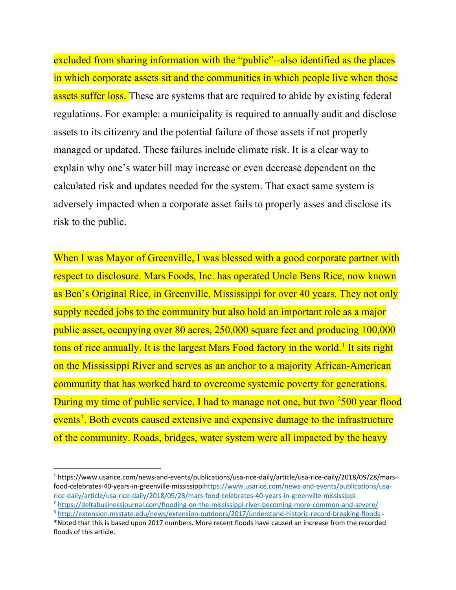excluded from sharing information with the "public"--also identified as the places in which corporate assets sit and the communities in which people live when those assets suffer loss. These are systems that are required to abide by existing federal regulations. For example: a municipality is required to annually audit and disclose assets to its citizenry and the potential failure of those assets if not properly managed or updated. These failures include climate risk. It is a clear way to explain why one's water bill may increase or even decrease dependent on the calculated risk and updates needed for the system. That exact same system is adversely impacted when a corporate asset fails to properly asses and disclose its risk to the public.

When I was Mayor of Greenville, I was blessed with a good corporate partner with respect to disclosure. Mars Foods, Inc. has operated Uncle Bens Rice, now known as Ben's Original Rice, in Greenville, Mississippi for over 40 years. They not only supply needed jobs to the community but also hold an important role as a major public asset, occupying over 80 acres, 250,000 square feet and producing 100,000 tons of rice annually. It is the largest Mars Food factory in the world.<sup>[1](#page-2-0)</sup> It sits right on the Mississippi River and serves as an anchor to a majority African-American community that has worked hard to overcome systemic poverty for generations. During my time of public service, I had to manage not one, but two <sup>[2](#page-2-1)</sup>500 year flood events<sup>[3](#page-2-2)</sup>. Both events caused extensive and expensive damage to the infrastructure of the community. Roads, bridges, water system were all impacted by the heavy

<span id="page-2-0"></span><sup>1</sup> https://www.usarice.com/news-and-events/publications/usa-rice-daily/article/usa-rice-daily/2018/09/28/marsfood-celebrates-40-years-in-greenville-mississipp[ihttps://www.usarice.com/news-and-events/publications/usa](https://www.usarice.com/news-and-events/publications/usa-rice-daily/article/usa-rice-daily/2018/09/28/mars-food-celebrates-40-years-in-greenville-mississippi)[rice-daily/article/usa-rice-daily/2018/09/28/mars-food-celebrates-40-years-in-greenville-mississippi](https://www.usarice.com/news-and-events/publications/usa-rice-daily/article/usa-rice-daily/2018/09/28/mars-food-celebrates-40-years-in-greenville-mississippi)

<span id="page-2-1"></span><sup>&</sup>lt;sup>2</sup> <https://deltabusinessjournal.com/flooding-on-the-mississippi-river-becoming-more-common-and-severe/>

<span id="page-2-2"></span><sup>3</sup> <http://extension.msstate.edu/news/extension-outdoors/2017/understand-historic-record-breaking-floods> - \*Noted that this is based upon 2017 numbers. More recent floods have caused an increase from the recorded floods of this article.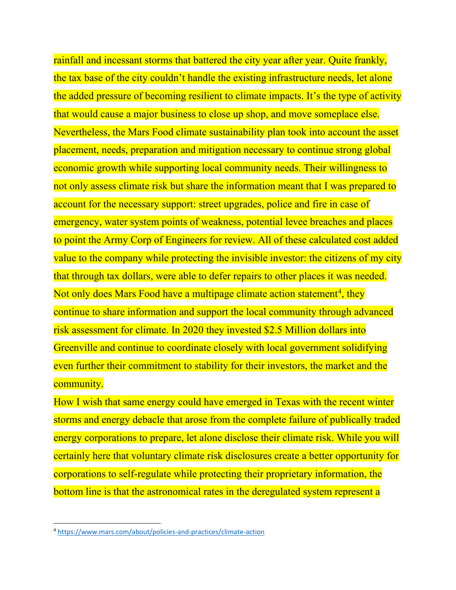rainfall and incessant storms that battered the city year after year. Quite frankly, the tax base of the city couldn't handle the existing infrastructure needs, let alone the added pressure of becoming resilient to climate impacts. It's the type of activity that would cause a major business to close up shop, and move someplace else. Nevertheless, the Mars Food climate sustainability plan took into account the asset placement, needs, preparation and mitigation necessary to continue strong global economic growth while supporting local community needs. Their willingness to not only assess climate risk but share the information meant that I was prepared to account for the necessary support: street upgrades, police and fire in case of emergency, water system points of weakness, potential levee breaches and places to point the Army Corp of Engineers for review. All of these calculated cost added value to the company while protecting the invisible investor: the citizens of my city that through tax dollars, were able to defer repairs to other places it was needed. Not only does Mars Food have a multipage climate action statement<sup>[4](#page-3-0)</sup>, they continue to share information and support the local community through advanced risk assessment for climate. In 2020 they invested \$2.5 Million dollars into Greenville and continue to coordinate closely with local government solidifying even further their commitment to stability for their investors, the market and the community.

How I wish that same energy could have emerged in Texas with the recent winter storms and energy debacle that arose from the complete failure of publically traded energy corporations to prepare, let alone disclose their climate risk. While you will certainly here that voluntary climate risk disclosures create a better opportunity for corporations to self-regulate while protecting their proprietary information, the bottom line is that the astronomical rates in the deregulated system represent a

<span id="page-3-0"></span><sup>4</sup> <https://www.mars.com/about/policies-and-practices/climate-action>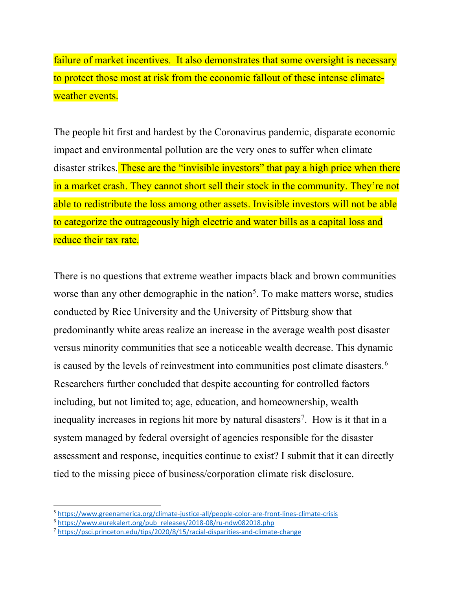failure of market incentives. It also demonstrates that some oversight is necessary to protect those most at risk from the economic fallout of these intense climateweather events.

The people hit first and hardest by the Coronavirus pandemic, disparate economic impact and environmental pollution are the very ones to suffer when climate disaster strikes. These are the "invisible investors" that pay a high price when there in a market crash. They cannot short sell their stock in the community. They're not able to redistribute the loss among other assets. Invisible investors will not be able to categorize the outrageously high electric and water bills as a capital loss and reduce their tax rate.

There is no questions that extreme weather impacts black and brown communities worse than any other demographic in the nation<sup>[5](#page-4-0)</sup>. To make matters worse, studies conducted by Rice University and the University of Pittsburg show that predominantly white areas realize an increase in the average wealth post disaster versus minority communities that see a noticeable wealth decrease. This dynamic is caused by the levels of reinvestment into communities post climate disasters.<sup>[6](#page-4-1)</sup> Researchers further concluded that despite accounting for controlled factors including, but not limited to; age, education, and homeownership, wealth inequality increases in regions hit more by natural disasters<sup>[7](#page-4-2)</sup>. How is it that in a system managed by federal oversight of agencies responsible for the disaster assessment and response, inequities continue to exist? I submit that it can directly tied to the missing piece of business/corporation climate risk disclosure.

<span id="page-4-0"></span><sup>5</sup> <https://www.greenamerica.org/climate-justice-all/people-color-are-front-lines-climate-crisis>

<span id="page-4-1"></span><sup>6</sup> [https://www.eurekalert.org/pub\\_releases/2018-08/ru-ndw082018.php](https://www.eurekalert.org/pub_releases/2018-08/ru-ndw082018.php)

<span id="page-4-2"></span><sup>7</sup> <https://psci.princeton.edu/tips/2020/8/15/racial-disparities-and-climate-change>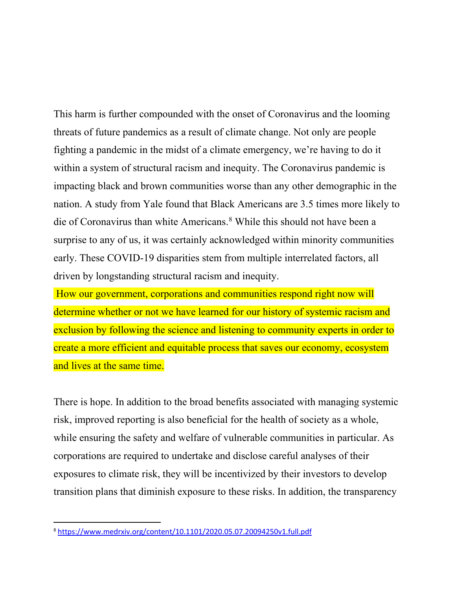This harm is further compounded with the onset of Coronavirus and the looming threats of future pandemics as a result of climate change. Not only are people fighting a pandemic in the midst of a climate emergency, we're having to do it within a system of structural racism and inequity. The Coronavirus pandemic is impacting black and brown communities worse than any other demographic in the nation. A study from Yale found that Black Americans are 3.5 times more likely to die of Coronavirus than white Americans.[8](#page-5-0) While this should not have been a surprise to any of us, it was certainly acknowledged within minority communities early. These COVID-19 disparities stem from multiple interrelated factors, all driven by longstanding structural racism and inequity.

How our government, corporations and communities respond right now will determine whether or not we have learned for our history of systemic racism and exclusion by following the science and listening to community experts in order to create a more efficient and equitable process that saves our economy, ecosystem and lives at the same time.

There is hope. In addition to the broad benefits associated with managing systemic risk, improved reporting is also beneficial for the health of society as a whole, while ensuring the safety and welfare of vulnerable communities in particular. As corporations are required to undertake and disclose careful analyses of their exposures to climate risk, they will be incentivized by their investors to develop transition plans that diminish exposure to these risks. In addition, the transparency

<span id="page-5-0"></span><sup>8</sup> <https://www.medrxiv.org/content/10.1101/2020.05.07.20094250v1.full.pdf>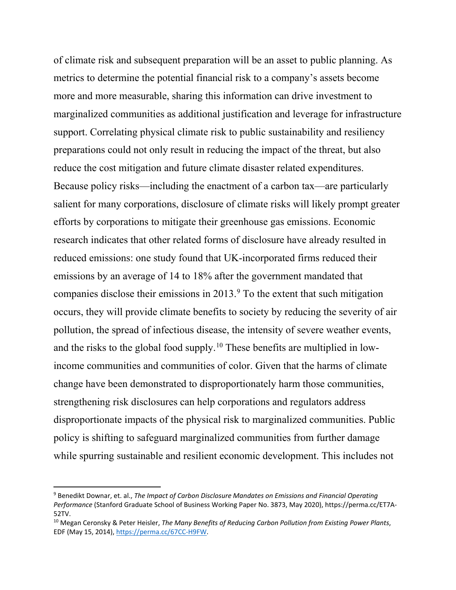of climate risk and subsequent preparation will be an asset to public planning. As metrics to determine the potential financial risk to a company's assets become more and more measurable, sharing this information can drive investment to marginalized communities as additional justification and leverage for infrastructure support. Correlating physical climate risk to public sustainability and resiliency preparations could not only result in reducing the impact of the threat, but also reduce the cost mitigation and future climate disaster related expenditures. Because policy risks—including the enactment of a carbon tax—are particularly salient for many corporations, disclosure of climate risks will likely prompt greater efforts by corporations to mitigate their greenhouse gas emissions. Economic research indicates that other related forms of disclosure have already resulted in reduced emissions: one study found that UK-incorporated firms reduced their emissions by an average of 14 to 18% after the government mandated that companies disclose their emissions in 2013.[9](#page-6-0) To the extent that such mitigation occurs, they will provide climate benefits to society by reducing the severity of air pollution, the spread of infectious disease, the intensity of severe weather events, and the risks to the global food supply.[10](#page-6-1) These benefits are multiplied in lowincome communities and communities of color. Given that the harms of climate change have been demonstrated to disproportionately harm those communities, strengthening risk disclosures can help corporations and regulators address disproportionate impacts of the physical risk to marginalized communities. Public policy is shifting to safeguard marginalized communities from further damage while spurring sustainable and resilient economic development. This includes not

<span id="page-6-0"></span><sup>9</sup> Benedikt Downar, et. al., *The Impact of Carbon Disclosure Mandates on Emissions and Financial Operating Performance* (Stanford Graduate School of Business Working Paper No. 3873, May 2020), https://perma.cc/ET7A-52TV.

<span id="page-6-1"></span><sup>10</sup> Megan Ceronsky & Peter Heisler, *The Many Benefits of Reducing Carbon Pollution from Existing Power Plants*, EDF (May 15, 2014), [https://perma.cc/67CC-H9FW.](https://perma.cc/67CC-H9FW)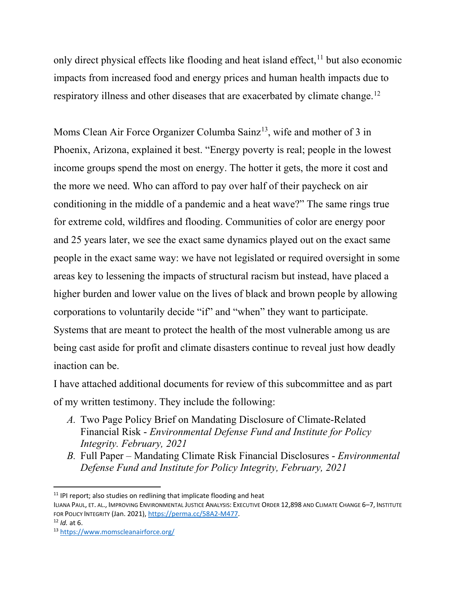only direct physical effects like flooding and heat island effect,  $11$  but also economic impacts from increased food and energy prices and human health impacts due to respiratory illness and other diseases that are exacerbated by climate change.<sup>[12](#page-7-1)</sup>

Moms Clean Air Force Organizer Columba Sainz<sup>13</sup>, wife and mother of 3 in Phoenix, Arizona, explained it best. "Energy poverty is real; people in the lowest income groups spend the most on energy. The hotter it gets, the more it cost and the more we need. Who can afford to pay over half of their paycheck on air conditioning in the middle of a pandemic and a heat wave?" The same rings true for extreme cold, wildfires and flooding. Communities of color are energy poor and 25 years later, we see the exact same dynamics played out on the exact same people in the exact same way: we have not legislated or required oversight in some areas key to lessening the impacts of structural racism but instead, have placed a higher burden and lower value on the lives of black and brown people by allowing corporations to voluntarily decide "if" and "when" they want to participate. Systems that are meant to protect the health of the most vulnerable among us are being cast aside for profit and climate disasters continue to reveal just how deadly inaction can be.

I have attached additional documents for review of this subcommittee and as part of my written testimony. They include the following:

- *A.* Two Page Policy Brief on Mandating Disclosure of Climate-Related Financial Risk - *Environmental Defense Fund and Institute for Policy Integrity. February, 2021*
- *B.* Full Paper Mandating Climate Risk Financial Disclosures *Environmental Defense Fund and Institute for Policy Integrity, February, 2021*

<span id="page-7-0"></span> $11$  IPI report; also studies on redlining that implicate flooding and heat

ILIANA PAUL, ET. AL., IMPROVING ENVIRONMENTAL JUSTICE ANALYSIS: EXECUTIVE ORDER 12,898 AND CLIMATE CHANGE 6–7, INSTITUTE FOR POLICY INTEGRITY (Jan. 2021), [https://perma.cc/58A2-M477.](https://perma.cc/58A2-M477)<br><sup>12</sup> *Id.* at 6.<br><sup>13</sup> <https://www.momscleanairforce.org/>

<span id="page-7-2"></span><span id="page-7-1"></span>